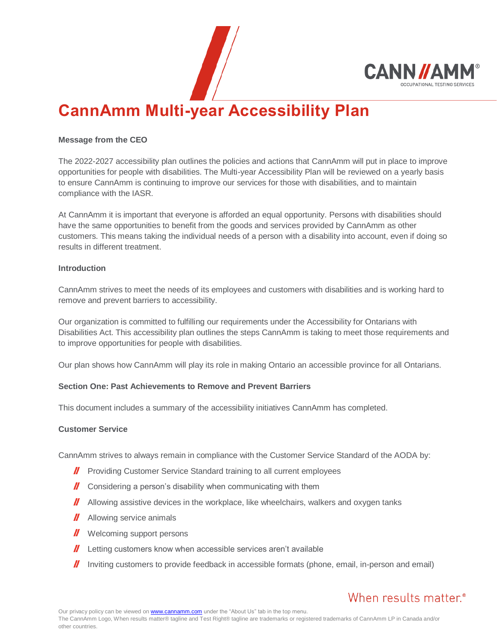

# **CannAmm Multi-year Accessibility Plan**

#### **Message from the CEO**

The 2022-2027 accessibility plan outlines the policies and actions that CannAmm will put in place to improve opportunities for people with disabilities. The Multi-year Accessibility Plan will be reviewed on a yearly basis to ensure CannAmm is continuing to improve our services for those with disabilities, and to maintain compliance with the IASR.

At CannAmm it is important that everyone is afforded an equal opportunity. Persons with disabilities should have the same opportunities to benefit from the goods and services provided by CannAmm as other customers. This means taking the individual needs of a person with a disability into account, even if doing so results in different treatment.

#### **Introduction**

CannAmm strives to meet the needs of its employees and customers with disabilities and is working hard to remove and prevent barriers to accessibility.

Our organization is committed to fulfilling our requirements under the Accessibility for Ontarians with Disabilities Act. This accessibility plan outlines the steps CannAmm is taking to meet those requirements and to improve opportunities for people with disabilities.

Our plan shows how CannAmm will play its role in making Ontario an accessible province for all Ontarians.

# **Section One: Past Achievements to Remove and Prevent Barriers**

This document includes a summary of the accessibility initiatives CannAmm has completed.

#### **Customer Service**

CannAmm strives to always remain in compliance with the Customer Service Standard of the AODA by:

- **//** Providing Customer Service Standard training to all current employees
- $\mathbf{I}$  Considering a person's disability when communicating with them
- **II** Allowing assistive devices in the workplace, like wheelchairs, walkers and oxygen tanks
- **//** Allowing service animals
- **//** Welcoming support persons
- $\mathbf{l}$  Letting customers know when accessible services aren't available
- $\parallel$  Inviting customers to provide feedback in accessible formats (phone, email, in-person and email)

# When results matter.<sup>®</sup>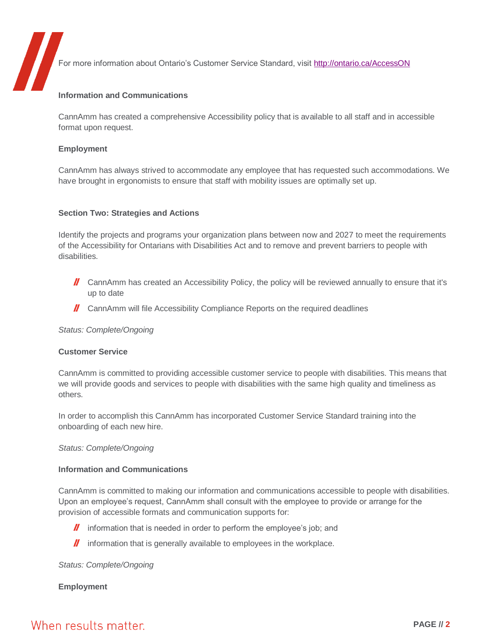For more information about Ontario's Customer Service Standard, visit<http://ontario.ca/AccessON>

#### **Information and Communications**

CannAmm has created a comprehensive Accessibility policy that is available to all staff and in accessible format upon request.

#### **Employment**

CannAmm has always strived to accommodate any employee that has requested such accommodations. We have brought in ergonomists to ensure that staff with mobility issues are optimally set up.

### **Section Two: Strategies and Actions**

Identify the projects and programs your organization plans between now and 2027 to meet the requirements of the Accessibility for Ontarians with Disabilities Act and to remove and prevent barriers to people with disabilities.

- $\mathbf{I}$  CannAmm has created an Accessibility Policy, the policy will be reviewed annually to ensure that it's up to date
- **II** CannAmm will file Accessibility Compliance Reports on the required deadlines

#### *Status: Complete/Ongoing*

#### **Customer Service**

CannAmm is committed to providing accessible customer service to people with disabilities. This means that we will provide goods and services to people with disabilities with the same high quality and timeliness as others.

In order to accomplish this CannAmm has incorporated Customer Service Standard training into the onboarding of each new hire.

#### *Status: Complete/Ongoing*

### **Information and Communications**

CannAmm is committed to making our information and communications accessible to people with disabilities. Upon an employee's request, CannAmm shall consult with the employee to provide or arrange for the provision of accessible formats and communication supports for:

- **I** information that is needed in order to perform the employee's job; and
- $\mathbf{l}$  information that is generally available to employees in the workplace.

#### *Status: Complete/Ongoing*

# **Employment**

# When results matter